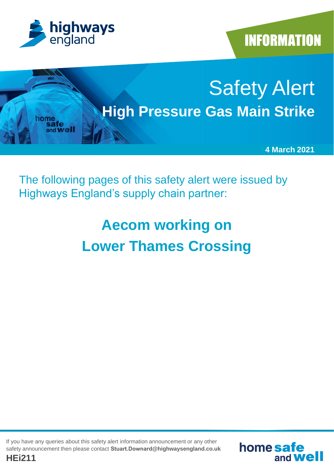

**INFORMATION** 



The following pages of this safety alert were issued by Highways England's supply chain partner:

# **Aecom working on Lower Thames Crossing**

If you have any queries about this safety alert information announcement or any other safety announcement then please contact **Stuart.Downard@highwaysengland.co.uk**